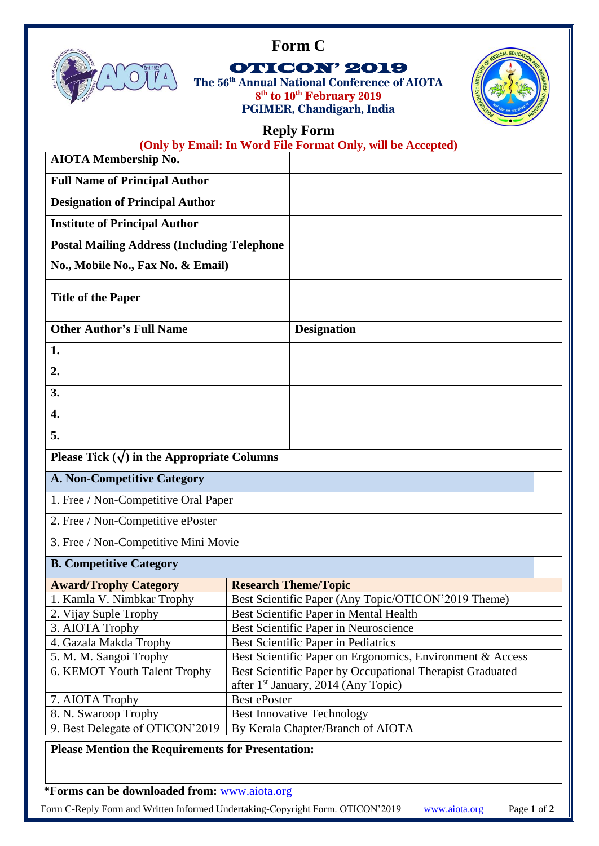



## OTICON' 2019

**The 56th Annual National Conference of AIOTA 8 th to 10th February 2019 PGIMER, Chandigarh, India**



## **Reply Form**

| <b>AIOTA Membership No.</b>                             |                                                                                                              | (Only by Email: In Word File Format Only, will be Accepted)            |  |
|---------------------------------------------------------|--------------------------------------------------------------------------------------------------------------|------------------------------------------------------------------------|--|
| <b>Full Name of Principal Author</b>                    |                                                                                                              |                                                                        |  |
| <b>Designation of Principal Author</b>                  |                                                                                                              |                                                                        |  |
| <b>Institute of Principal Author</b>                    |                                                                                                              |                                                                        |  |
|                                                         |                                                                                                              |                                                                        |  |
| <b>Postal Mailing Address (Including Telephone</b>      |                                                                                                              |                                                                        |  |
| No., Mobile No., Fax No. & Email)                       |                                                                                                              |                                                                        |  |
| <b>Title of the Paper</b>                               |                                                                                                              |                                                                        |  |
| <b>Other Author's Full Name</b>                         |                                                                                                              | <b>Designation</b>                                                     |  |
| 1.                                                      |                                                                                                              |                                                                        |  |
| 2.                                                      |                                                                                                              |                                                                        |  |
| 3.                                                      |                                                                                                              |                                                                        |  |
| 4.                                                      |                                                                                                              |                                                                        |  |
| 5.                                                      |                                                                                                              |                                                                        |  |
|                                                         |                                                                                                              |                                                                        |  |
| Please Tick $(\sqrt{})$ in the Appropriate Columns      |                                                                                                              |                                                                        |  |
| <b>A. Non-Competitive Category</b>                      |                                                                                                              |                                                                        |  |
| 1. Free / Non-Competitive Oral Paper                    |                                                                                                              |                                                                        |  |
| 2. Free / Non-Competitive ePoster                       |                                                                                                              |                                                                        |  |
| 3. Free / Non-Competitive Mini Movie                    |                                                                                                              |                                                                        |  |
| <b>B. Competitive Category</b>                          |                                                                                                              |                                                                        |  |
| <b>Award/Trophy Category</b>                            | <b>Research Theme/Topic</b>                                                                                  |                                                                        |  |
| 1. Kamla V. Nimbkar Trophy                              | Best Scientific Paper (Any Topic/OTICON'2019 Theme)                                                          |                                                                        |  |
| 2. Vijay Suple Trophy                                   | Best Scientific Paper in Mental Health                                                                       |                                                                        |  |
| 3. AIOTA Trophy                                         |                                                                                                              | Best Scientific Paper in Neuroscience                                  |  |
| 4. Gazala Makda Trophy                                  |                                                                                                              | Best Scientific Paper in Pediatrics                                    |  |
| 5. M. M. Sangoi Trophy                                  | Best Scientific Paper on Ergonomics, Environment & Access                                                    |                                                                        |  |
| 6. KEMOT Youth Talent Trophy                            | Best Scientific Paper by Occupational Therapist Graduated<br>after 1 <sup>st</sup> January, 2014 (Any Topic) |                                                                        |  |
|                                                         |                                                                                                              |                                                                        |  |
|                                                         | <b>Best ePoster</b>                                                                                          |                                                                        |  |
| 7. AIOTA Trophy                                         |                                                                                                              |                                                                        |  |
| 8. N. Swaroop Trophy<br>9. Best Delegate of OTICON'2019 |                                                                                                              | <b>Best Innovative Technology</b><br>By Kerala Chapter/Branch of AIOTA |  |

**\*Forms can be downloaded from:** [www.aiota.org](http://www.aiota.org/)

Form C-Reply Form and Written Informed Undertaking-Copyright Form. OTICON'2019 [www.aiota.org](http://www.aiota.org/) Page **1** of **2**